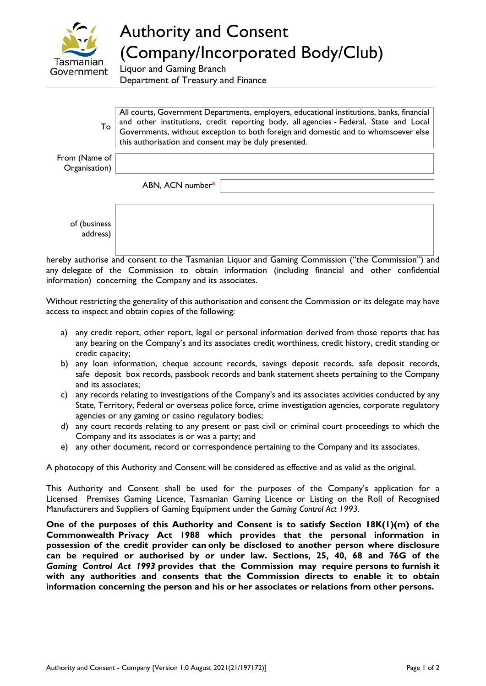

## Authority and Consent (Company/Incorporated Body/Club)

Liquor and Gaming Branch Department of Treasury and Finance

| To                             | All courts, Government Departments, employers, educational institutions, banks, financial<br>and other institutions, credit reporting body, all agencies - Federal, State and Local<br>Governments, without exception to both foreign and domestic and to whomsoever else<br>this authorisation and consent may be duly presented. |  |  |
|--------------------------------|------------------------------------------------------------------------------------------------------------------------------------------------------------------------------------------------------------------------------------------------------------------------------------------------------------------------------------|--|--|
| From (Name of<br>Organisation) |                                                                                                                                                                                                                                                                                                                                    |  |  |
|                                | ABN, ACN number*                                                                                                                                                                                                                                                                                                                   |  |  |
| of (business)<br>address)      |                                                                                                                                                                                                                                                                                                                                    |  |  |

hereby authorise and consent to the Tasmanian Liquor and Gaming Commission ("the Commission") and any delegate of the Commission to obtain information (including financial and other confidential information) concerning the Company and its associates.

Without restricting the generality of this authorisation and consent the Commission or its delegate may have access to inspect and obtain copies of the following:

- a) any credit report, other report, legal or personal information derived from those reports that has any bearing on the Company's and its associates credit worthiness, credit history, credit standing or credit capacity;
- b) any loan information, cheque account records, savings deposit records, safe deposit records, safe deposit box records, passbook records and bank statement sheets pertaining to the Company and its associates;
- c) any records relating to investigations of the Company's and its associates activities conducted by any State, Territory, Federal or overseas police force, crime investigation agencies, corporate regulatory agencies or any gaming or casino regulatory bodies;
- d) any court records relating to any present or past civil or criminal court proceedings to which the Company and its associates is or was a party; and
- e) any other document, record or correspondence pertaining to the Company and its associates.

A photocopy of this Authority and Consent will be considered as effective and as valid as the original.

This Authority and Consent shall be used for the purposes of the Company's application for a Licensed Premises Gaming Licence, Tasmanian Gaming Licence or Listing on the Roll of Recognised Manufacturers and Suppliers of Gaming Equipment under the *Gaming Control Act 1993*.

**One of the purposes of this Authority and Consent is to satisfy Section 18K(1)(m) of the Commonwealth Privacy Act 1988 which provides that the personal information in possession of the credit provider can only be disclosed to another person where disclosure can be required or authorised by or under law. Sections, 25, 40, 68 and 76G of the**  *Gaming Control Act 1993* **provides that the Commission may require persons to furnish it with any authorities and consents that the Commission directs to enable it to obtain information concerning the person and his or her associates or relations from other persons.**